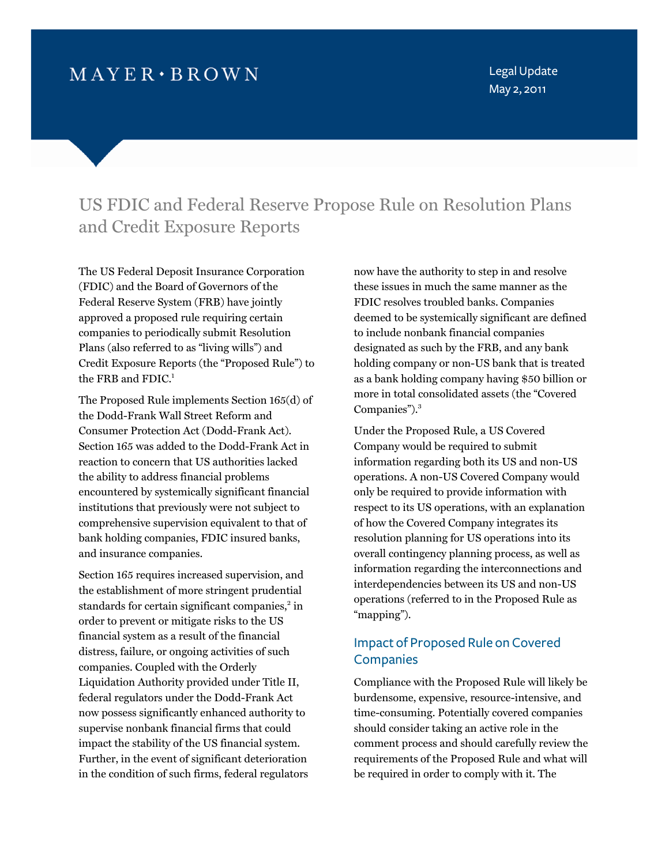# $MAYER \cdot BROWN$

Legal Update May 2, 2011

# US FDIC and Federal Reserve Propose Rule on Resolution Plans and Credit Exposure Reports

The US Federal Deposit Insurance Corporation (FDIC) and the Board of Governors of the Federal Reserve System (FRB) have jointly approved a proposed rule requiring certain companies to periodically submit Resolution Plans (also referred to as "living wills") and Credit Exposure Reports (the "Proposed Rule") to the FRB and FDIC.<sup>1</sup>

The Proposed Rule implements Section 165(d) of the Dodd-Frank Wall Street Reform and Consumer Protection Act (Dodd-Frank Act). Section 165 was added to the Dodd-Frank Act in reaction to concern that US authorities lacked the ability to address financial problems encountered by systemically significant financial institutions that previously were not subject to comprehensive supervision equivalent to that of bank holding companies, FDIC insured banks, and insurance companies.

Section 165 requires increased supervision, and the establishment of more stringent prudential standards for certain significant companies,<sup>2</sup> in order to prevent or mitigate risks to the US financial system as a result of the financial distress, failure, or ongoing activities of such companies. Coupled with the Orderly Liquidation Authority provided under Title II, federal regulators under the Dodd-Frank Act now possess significantly enhanced authority to supervise nonbank financial firms that could impact the stability of the US financial system. Further, in the event of significant deterioration in the condition of such firms, federal regulators now have the authority to step in and resolve these issues in much the same manner as the FDIC resolves troubled banks. Companies deemed to be systemically significant are defined to include nonbank financial companies designated as such by the FRB, and any bank holding company or non-US bank that is treated as a bank holding company having \$50 billion or more in total consolidated assets (the "Covered Companies").<sup>3</sup>

Under the Proposed Rule, a US Covered Company would be required to submit information regarding both its US and non-US operations. A non-US Covered Company would only be required to provide information with respect to its US operations, with an explanation of how the Covered Company integrates its resolution planning for US operations into its overall contingency planning process, as well as information regarding the interconnections and interdependencies between its US and non-US operations (referred to in the Proposed Rule as "mapping").

# Impact of Proposed Rule on Covered **Companies**

Compliance with the Proposed Rule will likely be burdensome, expensive, resource-intensive, and time-consuming. Potentially covered companies should consider taking an active role in the comment process and should carefully review the requirements of the Proposed Rule and what will be required in order to comply with it. The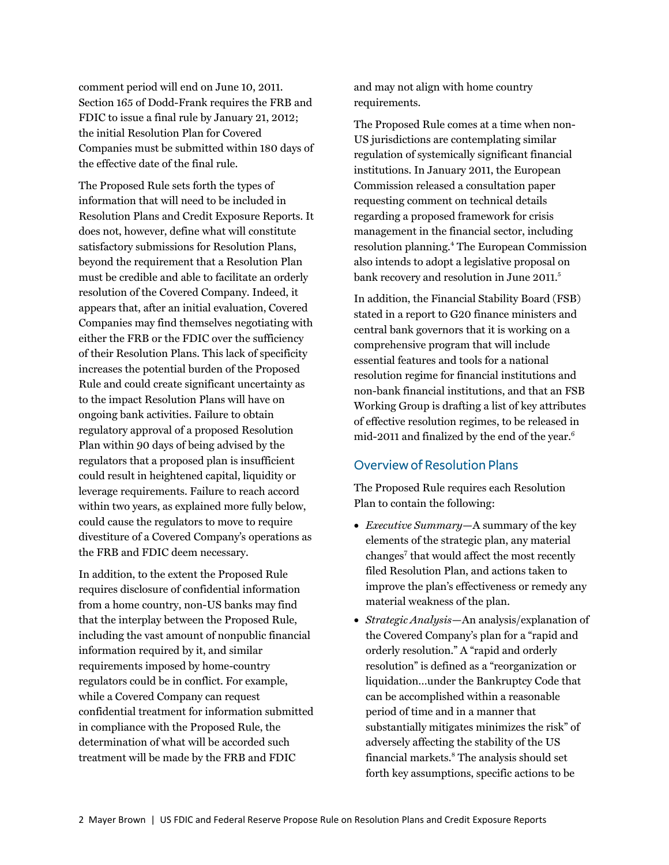comment period will end on June 10, 2011. Section 165 of Dodd-Frank requires the FRB and FDIC to issue a final rule by January 21, 2012; the initial Resolution Plan for Covered Companies must be submitted within 180 days of the effective date of the final rule.

The Proposed Rule sets forth the types of information that will need to be included in Resolution Plans and Credit Exposure Reports. It does not, however, define what will constitute satisfactory submissions for Resolution Plans, beyond the requirement that a Resolution Plan must be credible and able to facilitate an orderly resolution of the Covered Company. Indeed, it appears that, after an initial evaluation, Covered Companies may find themselves negotiating with either the FRB or the FDIC over the sufficiency of their Resolution Plans. This lack of specificity increases the potential burden of the Proposed Rule and could create significant uncertainty as to the impact Resolution Plans will have on ongoing bank activities. Failure to obtain regulatory approval of a proposed Resolution Plan within 90 days of being advised by the regulators that a proposed plan is insufficient could result in heightened capital, liquidity or leverage requirements. Failure to reach accord within two years, as explained more fully below, could cause the regulators to move to require divestiture of a Covered Company's operations as the FRB and FDIC deem necessary.

In addition, to the extent the Proposed Rule requires disclosure of confidential information from a home country, non-US banks may find that the interplay between the Proposed Rule, including the vast amount of nonpublic financial information required by it, and similar requirements imposed by home-country regulators could be in conflict. For example, while a Covered Company can request confidential treatment for information submitted in compliance with the Proposed Rule, the determination of what will be accorded such treatment will be made by the FRB and FDIC

and may not align with home country requirements.

The Proposed Rule comes at a time when non-US jurisdictions are contemplating similar regulation of systemically significant financial institutions. In January 2011, the European Commission released a consultation paper requesting comment on technical details regarding a proposed framework for crisis management in the financial sector, including resolution planning.<sup>4</sup> The European Commission also intends to adopt a legislative proposal on bank recovery and resolution in June 2011.<sup>5</sup>

In addition, the Financial Stability Board (FSB) stated in a report to G20 finance ministers and central bank governors that it is working on a comprehensive program that will include essential features and tools for a national resolution regime for financial institutions and non-bank financial institutions, and that an FSB Working Group is drafting a list of key attributes of effective resolution regimes, to be released in mid-2011 and finalized by the end of the year. $6$ 

## Overview of Resolution Plans

The Proposed Rule requires each Resolution Plan to contain the following:

- *Executive Summary*—A summary of the key elements of the strategic plan, any material changes<sup>7</sup> that would affect the most recently filed Resolution Plan, and actions taken to improve the plan's effectiveness or remedy any material weakness of the plan.
- *Strategic Analysis*—An analysis/explanation of the Covered Company's plan for a "rapid and orderly resolution." A "rapid and orderly resolution" is defined as a "reorganization or liquidation…under the Bankruptcy Code that can be accomplished within a reasonable period of time and in a manner that substantially mitigates minimizes the risk" of adversely affecting the stability of the US financial markets.<sup>8</sup> The analysis should set forth key assumptions, specific actions to be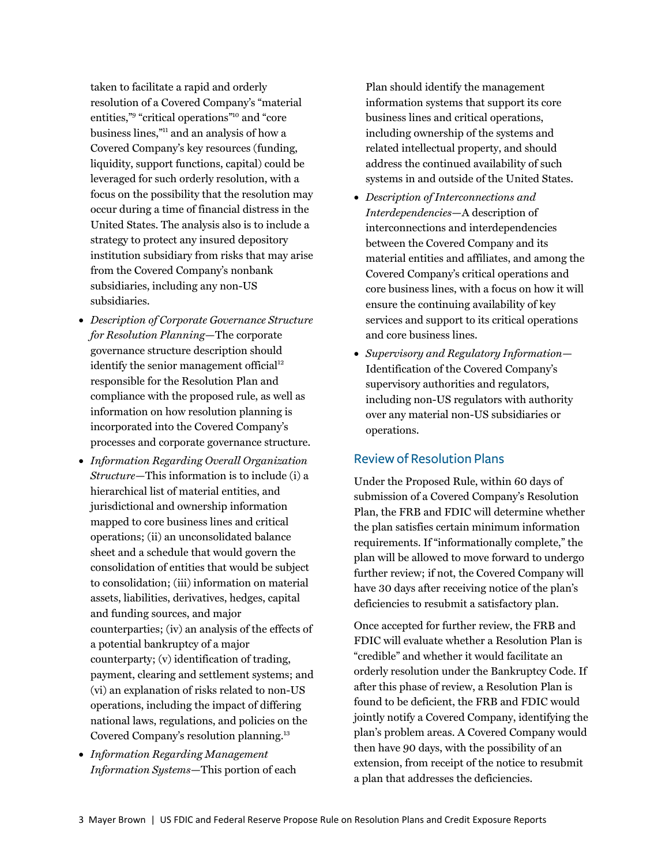taken to facilitate a rapid and orderly resolution of a Covered Company's "material entities,"<sup>9</sup> "critical operations"<sup>10</sup> and "core business line[s,"11 a](#page-4-0)nd an analysis of how a Covered Company's key resources (funding, liquidity, support functions, capital) could be leveraged for such orderly resolution, with a focus on the possibility that the resolution may occur during a time of financial distress in the United States. The analysis also is to include a strategy to protect any insured depository institution subsidiary from risks that may arise from the Covered Company's nonbank subsidiaries, including any non-US subsidiaries.

- *Description of Corporate Governance Structure for Resolution Planning*—The corporate governance structure description should identify the senior management official<sup>12</sup> responsible for the Resolution Plan and compliance with the proposed rule, as well as information on how resolution planning is incorporated into the Covered Company's processes and corporate governance structure.
- *Information Regarding Overall Organization Structure*—This information is to include (i) a hierarchical list of material entities, and jurisdictional and ownership information mapped to core business lines and critical operations; (ii) an unconsolidated balance sheet and a schedule that would govern the consolidation of entities that would be subject to consolidation; (iii) information on material assets, liabilities, derivatives, hedges, capital and funding sources, and major counterparties; (iv) an analysis of the effects of a potential bankruptcy of a major counterparty; (v) identification of trading, payment, clearing and settlement systems; and (vi) an explanation of risks related to non-US operations, including the impact of differing national laws, regulations, and policies on the Covered Company's resolution planni[ng.13](#page-4-0)
- *Information Regarding Management Information Systems*—This portion of each

Plan should identify the management information systems that support its core business lines and critical operations, including ownership of the systems and related intellectual property, and should address the continued availability of such systems in and outside of the United States.

- *Description of Interconnections and Interdependencies*—A description of interconnections and interdependencies between the Covered Company and its material entities and affiliates, and among the Covered Company's critical operations and core business lines, with a focus on how it will ensure the continuing availability of key services and support to its critical operations and core business lines.
- *Supervisory and Regulatory Information* Identification of the Covered Company's supervisory authorities and regulators, including non-US regulators with authority over any material non-US subsidiaries or operations.

### Review of Resolution Plans

Under the Proposed Rule, within 60 days of submission of a Covered Company's Resolution Plan, the FRB and FDIC will determine whether the plan satisfies certain minimum information requirements. If "informationally complete," the plan will be allowed to move forward to undergo further review; if not, the Covered Company will have 30 days after receiving notice of the plan's deficiencies to resubmit a satisfactory plan.

Once accepted for further review, the FRB and FDIC will evaluate whether a Resolution Plan is "credible" and whether it would facilitate an orderly resolution under the Bankruptcy Code. If after this phase of review, a Resolution Plan is found to be deficient, the FRB and FDIC would jointly notify a Covered Company, identifying the plan's problem areas. A Covered Company would then have 90 days, with the possibility of an extension, from receipt of the notice to resubmit a plan that addresses the deficiencies.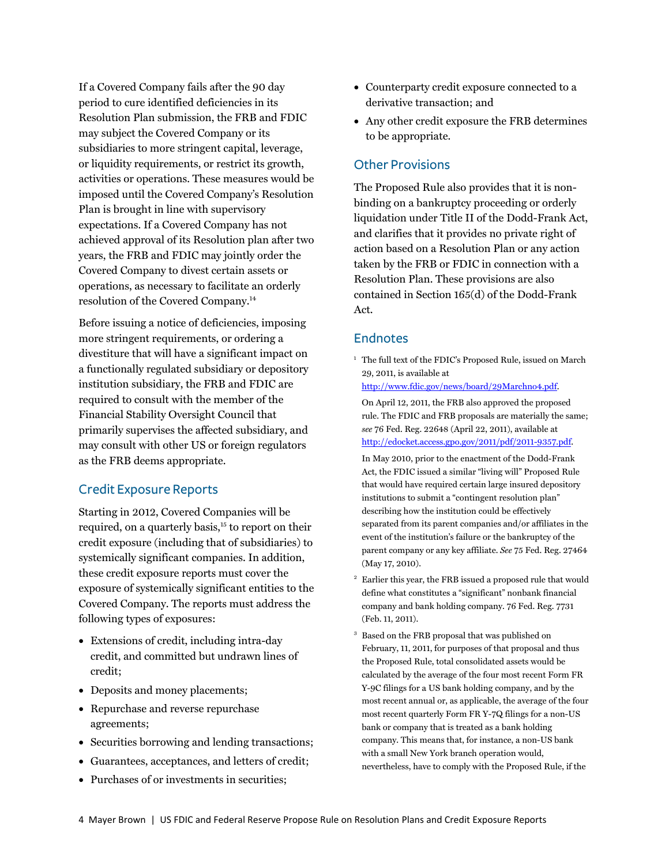<span id="page-3-0"></span>If a Covered Company fails after the 90 day period to cure identified deficiencies in its Resolution Plan submission, the FRB and FDIC may subject the Covered Company or its subsidiaries to more stringent capital, leverage, or liquidity requirements, or restrict its growth, activities or operations. These measures would be imposed until the Covered Company's Resolution Plan is brought in line with supervisory expectations. If a Covered Company has not achieved approval of its Resolution plan after two years, the FRB and FDIC may jointly order the Covered Company to divest certain assets or operations, as necessary to facilitate an orderly resolution of the Covered Compan[y.14](#page-4-0) 

Before issuing a notice of deficiencies, imposing more stringent requirements, or ordering a divestiture that will have a significant impact on a functionally regulated subsidiary or depository institution subsidiary, the FRB and FDIC are required to consult with the member of the Financial Stability Oversight Council that primarily supervises the affected subsidiary, and may consult with other US or foreign regulators as the FRB deems appropriate.

#### Credit Exposure Reports

Starting in 2012, Covered Companies will be required, on a quarterly basis,<sup>15</sup> to report on their credit exposure (including that of subsidiaries) to systemically significant companies. In addition, these credit exposure reports must cover the exposure of systemically significant entities to the Covered Company. The reports must address the following types of exposures:

- Extensions of credit, including intra-day credit, and committed but undrawn lines of credit;
- Deposits and money placements;
- Repurchase and reverse repurchase agreements;
- Securities borrowing and lending transactions;
- Guarantees, acceptances, and letters of credit;
- Purchases of or investments in securities:
- Counterparty credit exposure connected to a derivative transaction; and
- Any other credit exposure the FRB determines to be appropriate.

### Other Provisions

The Proposed Rule also provides that it is nonbinding on a bankruptcy proceeding or orderly liquidation under Title II of the Dodd-Frank Act, and clarifies that it provides no private right of action based on a Resolution Plan or any action taken by the FRB or FDIC in connection with a Resolution Plan. These provisions are also contained in Section 165(d) of the Dodd-Frank Act.

#### **Endnotes**

<sup>1</sup> The full text of the FDIC's Proposed Rule, issued on March 29, 2011, is available at

[http://www.fdic.gov/news/board/29Marchno4.pdf.](http://www.fdic.gov/news/board/29Marchno4.pdf) 

 On April 12, 2011, the FRB also approved the proposed rule. The FDIC and FRB proposals are materially the same; *see* 76 Fed. Reg. 22648 (April 22, 2011), available at [http://edocket.access.gpo.gov/2011/pdf/2011-9357.pdf.](http://edocket.access.gpo.gov/2011/pdf/2011-9357.pdf) 

 In May 2010, prior to the enactment of the Dodd-Frank Act, the FDIC issued a similar "living will" Proposed Rule that would have required certain large insured depository institutions to submit a "contingent resolution plan" describing how the institution could be effectively separated from its parent companies and/or affiliates in the event of the institution's failure or the bankruptcy of the parent company or any key affiliate. *See* 75 Fed. Reg. 27464 (May 17, 2010).

- 2 Earlier this year, the FRB issued a proposed rule that would define what constitutes a "significant" nonbank financial company and bank holding company. 76 Fed. Reg. 7731 (Feb. 11, 2011).
- 3 Based on the FRB proposal that was published on February, 11, 2011, for purposes of that proposal and thus the Proposed Rule, total consolidated assets would be calculated by the average of the four most recent Form FR Y-9C filings for a US bank holding company, and by the most recent annual or, as applicable, the average of the four most recent quarterly Form FR Y-7Q filings for a non-US bank or company that is treated as a bank holding company. This means that, for instance, a non-US bank with a small New York branch operation would, nevertheless, have to comply with the Proposed Rule, if the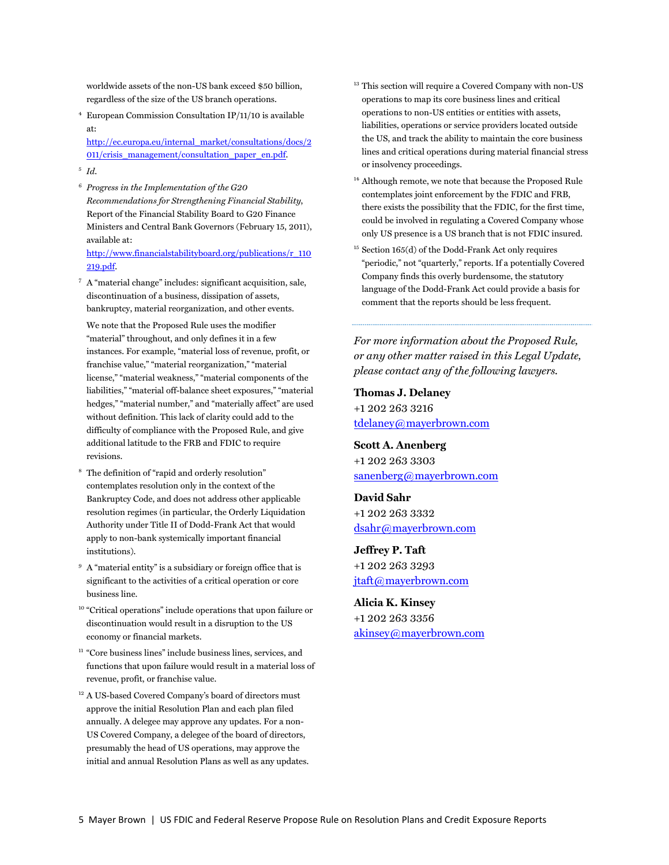<span id="page-4-0"></span>worldwide assets of the non-US bank exceed \$50 billion, regardless of the size of the US branch operations.

4 European Commission Consultation IP/11/10 is available at:

[http://ec.europa.eu/internal\\_market/consultations/docs/2](http://ec.europa.eu/internal_market/consultations/docs/2011/crisis_management/consultation_paper_en.pdf) 011/crisis\_management/consultation\_paper\_en.pdf.

- <sup>5</sup> *Id*.
- <sup>6</sup> *Progress in the Implementation of the G20 Recommendations for Strengthening Financial Stability*, Report of the Financial Stability Board to G20 Finance Ministers and Central Bank Governors (February 15, 2011), available at:

[http://www.financialstabilityboard.org/publications/r\\_110](http://www.financialstabilityboard.org/publications/r_110219.pdf) 219.pdf.

7 A "material change" includes: significant acquisition, sale, discontinuation of a business, dissipation of assets, bankruptcy, material reorganization, and other events.

We note that the Proposed Rule uses the modifier "material" throughout, and only defines it in a few instances. For example, "material loss of revenue, profit, or franchise value," "material reorganization," "material license," "material weakness," "material components of the liabilities," "material off-balance sheet exposures," "material hedges," "material number," and "materially affect" are used without definition. This lack of clarity could add to the difficulty of compliance with the Proposed Rule, and give additional latitude to the FRB and FDIC to require revisions.

- 8 The definition of "rapid and orderly resolution" contemplates resolution only in the context of the Bankruptcy Code, and does not address other applicable resolution regimes (in particular, the Orderly Liquidation Authority under Title II of Dodd-Frank Act that would apply to non-bank systemically important financial institutions).
- <sup>9</sup> A "material entity" is a subsidiary or foreign office that is significant to the activities of a critical operation or core business line.
- <sup>10</sup> "Critical operations" include operations that upon failure or discontinuation would result in a disruption to the US economy or financial markets.
- <sup>11</sup> "Core business lines" include business lines, services, and functions that upon failure would result in a material loss of revenue, profit, or franchise value.
- <sup>12</sup> A US-based Covered Company's board of directors must approve the initial Resolution Plan and each plan filed annually. A delegee may approve any updates. For a non-US Covered Company, a delegee of the board of directors, presumably the head of US operations, may approve the initial and annual Resolution Plans as well as any updates.
- <sup>13</sup> This section will require a Covered Company with non-US operations to map its core business lines and critical operations to non-US entities or entities with assets, liabilities, operations or service providers located outside the US, and track the ability to maintain the core business lines and critical operations during material financial stress or insolvency proceedings.
- <sup>14</sup> Although remote, we note that because the Proposed Rule contemplates joint enforcement by the FDIC and FRB, there exists the possibility that the FDIC, for the first time, could be involved in regulating a Covered Company whose only US presence is a US branch that is not FDIC insured.
- 15 Section 165(d) of the Dodd-Frank Act only requires "periodic," not "quarterly," reports. If a potentially Covered Company finds this overly burdensome, the statutory language of the Dodd-Frank Act could provide a basis for comment that the reports should be less frequent.

*For more information about the Proposed Rule, or any other matter raised in this Legal Update, please contact any of the following lawyers.* 

**Thomas J. Delaney**  +1 202 263 3216 tdelaney@mayerbrown.com

**Scott A. Anenberg** +1 202 263 3303 sanenberg@mayerbrown.com

**David Sahr** +1 202 263 3332 dsahr@mayerbrown.com

**Jeffrey P. Taft** +1 202 263 3293 jtaft@mayerbrown.com

**Alicia K. Kinsey** +1 202 263 3356 akinsey@mayerbrown.com